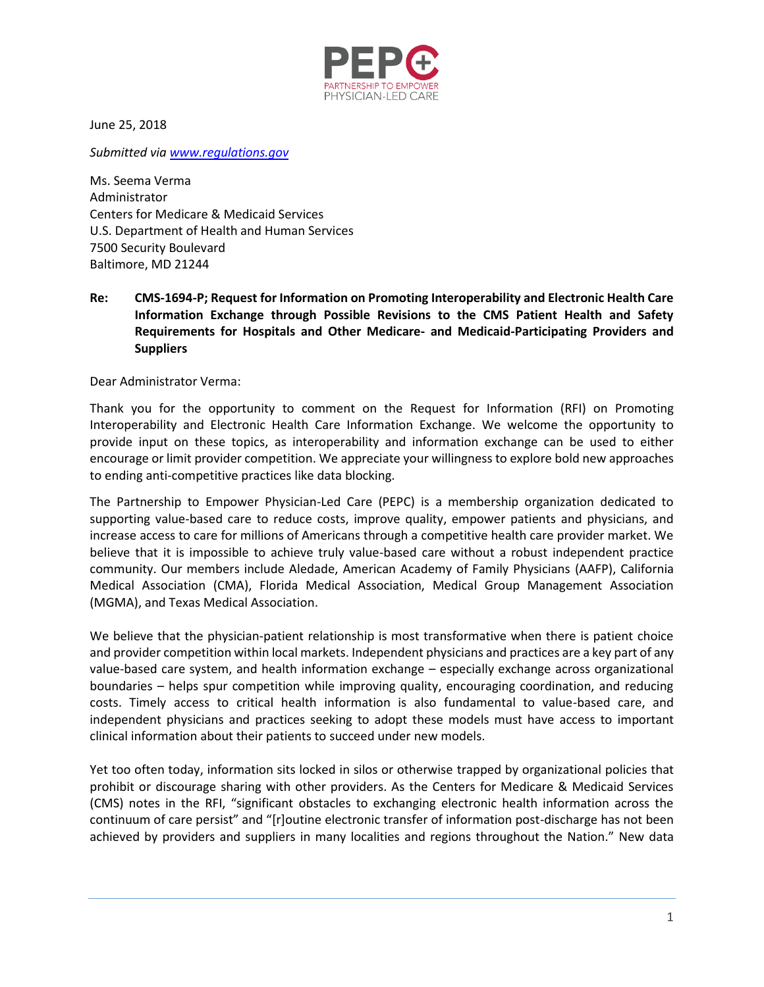

June 25, 2018

*Submitted via [www.regulations.gov](http://www.regulations.gov/)*

Ms. Seema Verma Administrator Centers for Medicare & Medicaid Services U.S. Department of Health and Human Services 7500 Security Boulevard Baltimore, MD 21244

**Re: CMS-1694-P; Request for Information on Promoting Interoperability and Electronic Health Care Information Exchange through Possible Revisions to the CMS Patient Health and Safety Requirements for Hospitals and Other Medicare- and Medicaid-Participating Providers and Suppliers** 

Dear Administrator Verma:

Thank you for the opportunity to comment on the Request for Information (RFI) on Promoting Interoperability and Electronic Health Care Information Exchange. We welcome the opportunity to provide input on these topics, as interoperability and information exchange can be used to either encourage or limit provider competition. We appreciate your willingness to explore bold new approaches to ending anti-competitive practices like data blocking.

The Partnership to Empower Physician-Led Care (PEPC) is a membership organization dedicated to supporting value-based care to reduce costs, improve quality, empower patients and physicians, and increase access to care for millions of Americans through a competitive health care provider market. We believe that it is impossible to achieve truly value-based care without a robust independent practice community. Our members include Aledade, American Academy of Family Physicians (AAFP), California Medical Association (CMA), Florida Medical Association, Medical Group Management Association (MGMA), and Texas Medical Association.

We believe that the physician-patient relationship is most transformative when there is patient choice and provider competition within local markets. Independent physicians and practices are a key part of any value-based care system, and health information exchange – especially exchange across organizational boundaries – helps spur competition while improving quality, encouraging coordination, and reducing costs. Timely access to critical health information is also fundamental to value-based care, and independent physicians and practices seeking to adopt these models must have access to important clinical information about their patients to succeed under new models.

Yet too often today, information sits locked in silos or otherwise trapped by organizational policies that prohibit or discourage sharing with other providers. As the Centers for Medicare & Medicaid Services (CMS) notes in the RFI, "significant obstacles to exchanging electronic health information across the continuum of care persist" and "[r]outine electronic transfer of information post-discharge has not been achieved by providers and suppliers in many localities and regions throughout the Nation." New data